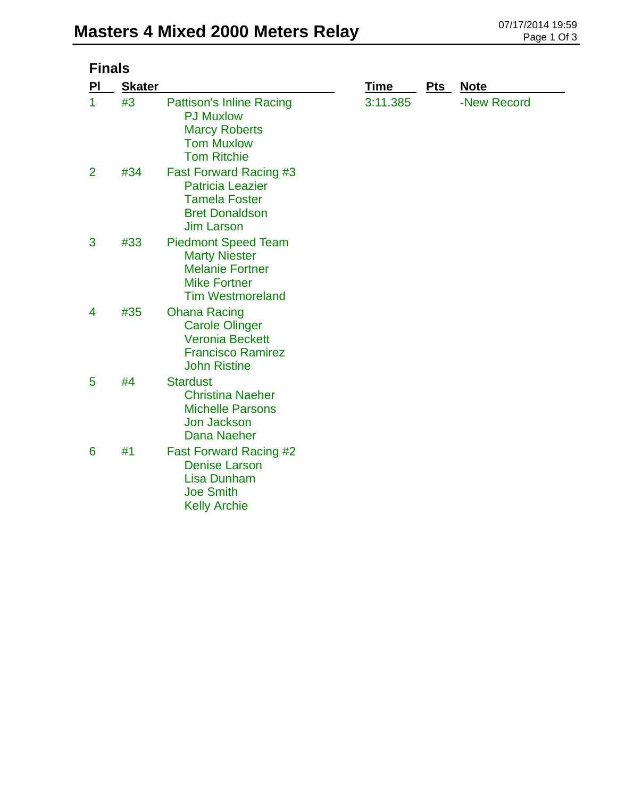| <b>Finals</b>  |               |                                                                                                                                |          |     |             |  |
|----------------|---------------|--------------------------------------------------------------------------------------------------------------------------------|----------|-----|-------------|--|
| PI             | <b>Skater</b> |                                                                                                                                | Time     | Pts | <b>Note</b> |  |
| 1              | #3            | <b>Pattison's Inline Racing</b><br><b>PJ Muxlow</b><br><b>Marcy Roberts</b><br><b>Tom Muxlow</b><br><b>Tom Ritchie</b>         | 3:11.385 |     | -New Record |  |
| $\overline{2}$ | #34           | <b>Fast Forward Racing #3</b><br><b>Patricia Leazier</b><br><b>Tamela Foster</b><br><b>Bret Donaldson</b><br><b>Jim Larson</b> |          |     |             |  |
| 3              | #33           | <b>Piedmont Speed Team</b><br><b>Marty Niester</b><br><b>Melanie Fortner</b><br><b>Mike Fortner</b><br><b>Tim Westmoreland</b> |          |     |             |  |
| 4              | #35           | <b>Ohana Racing</b><br><b>Carole Olinger</b><br><b>Veronia Beckett</b><br><b>Francisco Ramirez</b><br><b>John Ristine</b>      |          |     |             |  |
| 5              | #4            | <b>Stardust</b><br><b>Christina Naeher</b><br><b>Michelle Parsons</b><br><b>Jon Jackson</b><br><b>Dana Naeher</b>              |          |     |             |  |
| 6              | #1            | <b>Fast Forward Racing #2</b><br><b>Denise Larson</b><br><b>Lisa Dunham</b><br><b>Joe Smith</b><br><b>Kelly Archie</b>         |          |     |             |  |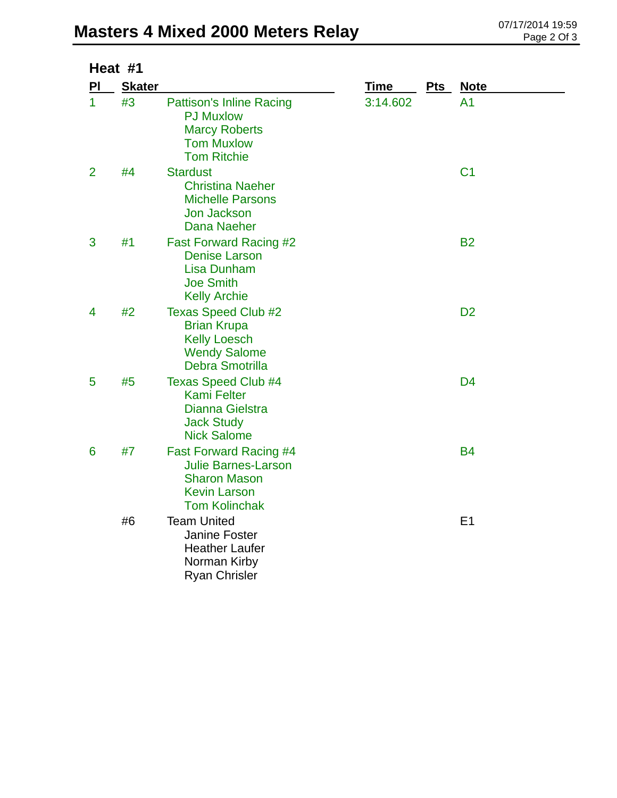## **Masters 4 Mixed 2000 Meters Relay** 07/17/2014 19:59 page 2 Of 3

| Heat #1        |               |                                                                                                                                   |             |     |                |  |
|----------------|---------------|-----------------------------------------------------------------------------------------------------------------------------------|-------------|-----|----------------|--|
| PI             | <b>Skater</b> |                                                                                                                                   | <b>Time</b> | Pts | <u>Note</u>    |  |
| 1              | #3            | <b>Pattison's Inline Racing</b><br><b>PJ Muxlow</b><br><b>Marcy Roberts</b><br><b>Tom Muxlow</b><br><b>Tom Ritchie</b>            | 3:14.602    |     | A <sub>1</sub> |  |
| $\overline{2}$ | #4            | <b>Stardust</b><br><b>Christina Naeher</b><br><b>Michelle Parsons</b><br>Jon Jackson<br>Dana Naeher                               |             |     | C <sub>1</sub> |  |
| 3              | #1            | <b>Fast Forward Racing #2</b><br><b>Denise Larson</b><br><b>Lisa Dunham</b><br><b>Joe Smith</b><br><b>Kelly Archie</b>            |             |     | <b>B2</b>      |  |
| 4              | #2            | <b>Texas Speed Club #2</b><br><b>Brian Krupa</b><br><b>Kelly Loesch</b><br><b>Wendy Salome</b><br><b>Debra Smotrilla</b>          |             |     | D <sub>2</sub> |  |
| 5              | #5            | <b>Texas Speed Club #4</b><br><b>Kami Felter</b><br><b>Dianna Gielstra</b><br><b>Jack Study</b><br><b>Nick Salome</b>             |             |     | D <sub>4</sub> |  |
| 6              | #7            | <b>Fast Forward Racing #4</b><br><b>Julie Barnes-Larson</b><br><b>Sharon Mason</b><br><b>Kevin Larson</b><br><b>Tom Kolinchak</b> |             |     | <b>B4</b>      |  |
|                | #6            | <b>Team United</b><br><b>Janine Foster</b><br><b>Heather Laufer</b><br>Norman Kirby<br><b>Ryan Chrisler</b>                       |             |     | E <sub>1</sub> |  |